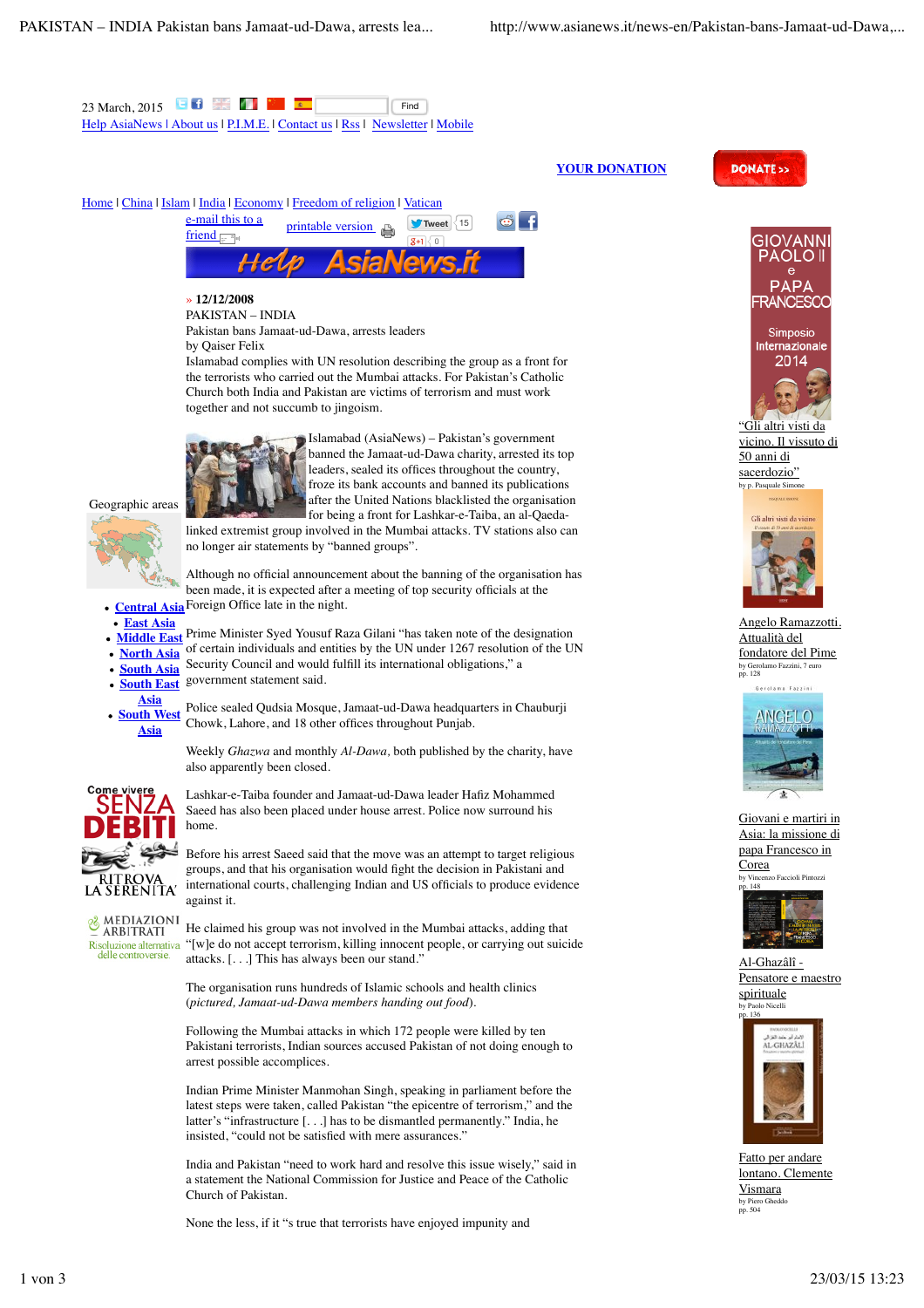